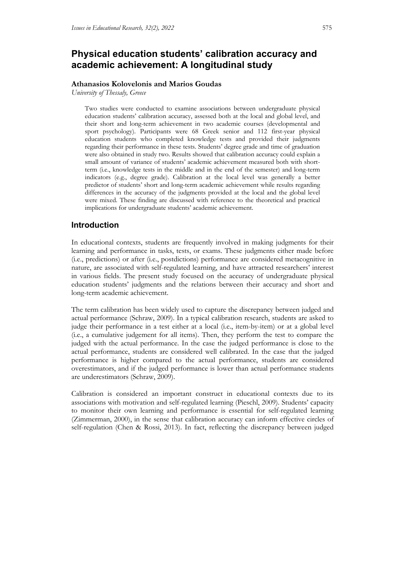# **Physical education students' calibration accuracy and academic achievement: Α longitudinal study**

### **Athanasios Kolovelonis and Marios Goudas**

*University of Thessaly, Greece*

Two studies were conducted to examine associations between undergraduate physical education students' calibration accuracy, assessed both at the local and global level, and their short and long-term achievement in two academic courses (developmental and sport psychology). Participants were 68 Greek senior and 112 first-year physical education students who completed knowledge tests and provided their judgments regarding their performance in these tests. Students' degree grade and time of graduation were also obtained in study two. Results showed that calibration accuracy could explain a small amount of variance of students' academic achievement measured both with shortterm (i.e., knowledge tests in the middle and in the end of the semester) and long-term indicators (e.g., degree grade). Calibration at the local level was generally a better predictor of students' short and long-term academic achievement while results regarding differences in the accuracy of the judgments provided at the local and the global level were mixed. These finding are discussed with reference to the theoretical and practical implications for undergraduate students' academic achievement.

## **Introduction**

In educational contexts, students are frequently involved in making judgments for their learning and performance in tasks, tests, or exams. These judgments either made before (i.e., predictions) or after (i.e., postdictions) performance are considered metacognitive in nature, are associated with self-regulated learning, and have attracted researchers' interest in various fields. The present study focused on the accuracy of undergraduate physical education students' judgments and the relations between their accuracy and short and long-term academic achievement.

The term calibration has been widely used to capture the discrepancy between judged and actual performance (Schraw, 2009). In a typical calibration research, students are asked to judge their performance in a test either at a local (i.e., item-by-item) or at a global level (i.e., a cumulative judgement for all items). Then, they perform the test to compare the judged with the actual performance. In the case the judged performance is close to the actual performance, students are considered well calibrated. In the case that the judged performance is higher compared to the actual performance, students are considered overestimators, and if the judged performance is lower than actual performance students are underestimators (Schraw, 2009).

Calibration is considered an important construct in educational contexts due to its associations with motivation and self-regulated learning (Pieschl, 2009). Students' capacity to monitor their own learning and performance is essential for self-regulated learning (Zimmerman, 2000), in the sense that calibration accuracy can inform effective circles of self-regulation (Chen & Rossi, 2013). In fact, reflecting the discrepancy between judged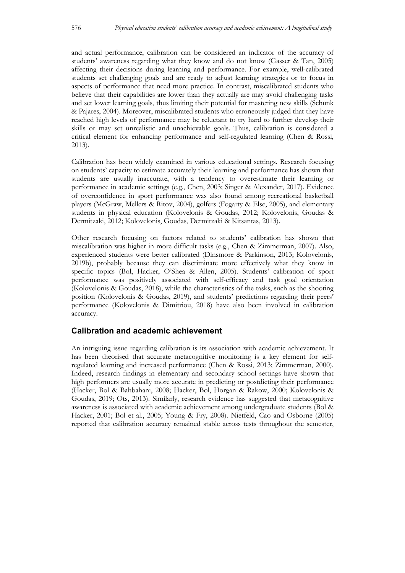and actual performance, calibration can be considered an indicator of the accuracy of students' awareness regarding what they know and do not know (Gasser & Tan, 2005) affecting their decisions during learning and performance. For example, well-calibrated students set challenging goals and are ready to adjust learning strategies or to focus in aspects of performance that need more practice. In contrast, miscalibrated students who believe that their capabilities are lower than they actually are may avoid challenging tasks and set lower learning goals, thus limiting their potential for mastering new skills (Schunk & Pajares, 2004). Moreover, miscalibrated students who erroneously judged that they have reached high levels of performance may be reluctant to try hard to further develop their skills or may set unrealistic and unachievable goals. Thus, calibration is considered a critical element for enhancing performance and self-regulated learning (Chen & Rossi, 2013).

Calibration has been widely examined in various educational settings. Research focusing on students' capacity to estimate accurately their learning and performance has shown that students are usually inaccurate, with a tendency to overestimate their learning or performance in academic settings (e.g., Chen, 2003; Singer & Alexander, 2017). Evidence of overconfidence in sport performance was also found among recreational basketball players (McGraw, Mellers & Ritov, 2004), golfers (Fogarty & Else, 2005), and elementary students in physical education (Kolovelonis & Goudas, 2012; Kolovelonis, Goudas & Dermitzaki, 2012; Kolovelonis, Goudas, Dermitzaki & Kitsantas, 2013).

Other research focusing on factors related to students' calibration has shown that miscalibration was higher in more difficult tasks (e.g., Chen & Zimmerman, 2007). Also, experienced students were better calibrated (Dinsmore & Parkinson, 2013; Kolovelonis, 2019b), probably because they can discriminate more effectively what they know in specific topics (Bol, Hacker, O'Shea & Allen, 2005). Students' calibration of sport performance was positively associated with self-efficacy and task goal orientation (Kolovelonis & Goudas, 2018), while the characteristics of the tasks, such as the shooting position (Kolovelonis & Goudas, 2019), and students' predictions regarding their peers' performance (Kolovelonis & Dimitriou, 2018) have also been involved in calibration accuracy.

## **Calibration and academic achievement**

An intriguing issue regarding calibration is its association with academic achievement. It has been theorised that accurate metacognitive monitoring is a key element for selfregulated learning and increased performance (Chen & Rossi, 2013; Zimmerman, 2000). Indeed, research findings in elementary and secondary school settings have shown that high performers are usually more accurate in predicting or postdicting their performance (Hacker, Bol & Bahbahani, 2008; Hacker, Bol, Horgan & Rakow, 2000; Kolovelonis & Goudas, 2019; Ots, 2013). Similarly, research evidence has suggested that metacognitive awareness is associated with academic achievement among undergraduate students (Bol & Hacker, 2001; Bol et al., 2005; Young & Fry, 2008). Nietfeld, Cao and Osborne (2005) reported that calibration accuracy remained stable across tests throughout the semester,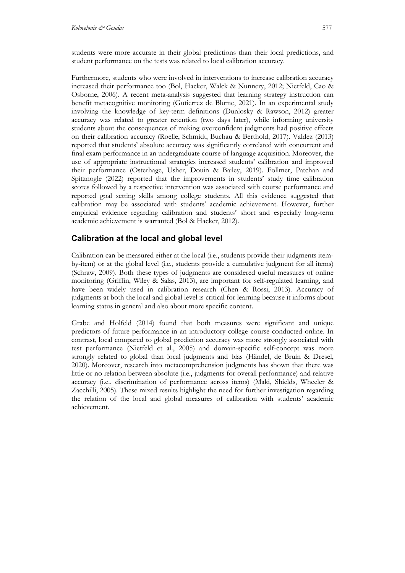students were more accurate in their global predictions than their local predictions, and student performance on the tests was related to local calibration accuracy.

Furthermore, students who were involved in interventions to increase calibration accuracy increased their performance too (Bol, Hacker, Walck & Nunnery, 2012; Nietfeld, Cao & Osborne, 2006). A recent meta-analysis suggested that learning strategy instruction can benefit metacognitive monitoring (Gutierrez de Blume, 2021). In an experimental study involving the knowledge of key-term definitions (Dunlosky & Rawson, 2012) greater accuracy was related to greater retention (two days later), while informing university students about the consequences of making overconfident judgments had positive effects on their calibration accuracy (Roelle, Schmidt, Buchau & Berthold, 2017). Valdez (2013) reported that students' absolute accuracy was significantly correlated with concurrent and final exam performance in an undergraduate course of language acquisition. Moreover, the use of appropriate instructional strategies increased students' calibration and improved their performance (Osterhage, Usher, Douin & Bailey, 2019). Follmer, Patchan and Spitznogle (2022) reported that the improvements in students' study time calibration scores followed by a respective intervention was associated with course performance and reported goal setting skills among college students. All this evidence suggested that calibration may be associated with students' academic achievement. However, further empirical evidence regarding calibration and students' short and especially long-term academic achievement is warranted (Bol & Hacker, 2012).

## **Calibration at the local and global level**

Calibration can be measured either at the local (i.e., students provide their judgments itemby-item) or at the global level (i.e., students provide a cumulative judgment for all items) (Schraw, 2009). Both these types of judgments are considered useful measures of online monitoring (Griffin, Wiley & Salas, 2013), are important for self-regulated learning, and have been widely used in calibration research (Chen & Rossi, 2013). Accuracy of judgments at both the local and global level is critical for learning because it informs about learning status in general and also about more specific content.

Grabe and Holfeld (2014) found that both measures were significant and unique predictors of future performance in an introductory college course conducted online. In contrast, local compared to global prediction accuracy was more strongly associated with test performance (Nietfeld et al., 2005) and domain-specific self-concept was more strongly related to global than local judgments and bias (Händel, de Bruin & Dresel, 2020). Moreover, research into metacomprehension judgments has shown that there was little or no relation between absolute (i.e., judgments for overall performance) and relative accuracy (i.e., discrimination of performance across items) (Maki, Shields, Wheeler & Zacchilli, 2005). These mixed results highlight the need for further investigation regarding the relation of the local and global measures of calibration with students' academic achievement.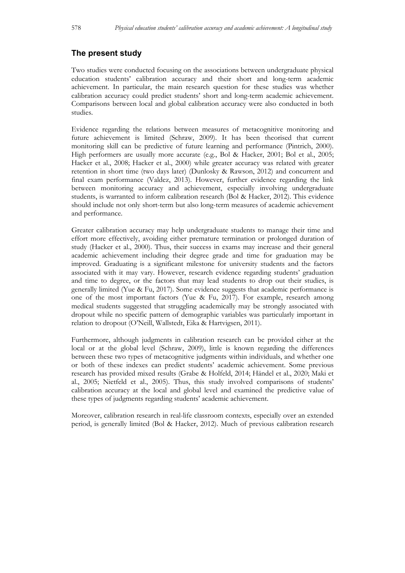## **The present study**

Two studies were conducted focusing on the associations between undergraduate physical education students' calibration accuracy and their short and long-term academic achievement. In particular, the main research question for these studies was whether calibration accuracy could predict students' short and long-term academic achievement. Comparisons between local and global calibration accuracy were also conducted in both studies.

Evidence regarding the relations between measures of metacognitive monitoring and future achievement is limited (Schraw, 2009). It has been theorised that current monitoring skill can be predictive of future learning and performance (Pintrich, 2000). High performers are usually more accurate (e.g., Bol & Hacker, 2001; Bol et al., 2005; Hacker et al., 2008; Hacker et al., 2000) while greater accuracy was related with greater retention in short time (two days later) (Dunlosky & Rawson, 2012) and concurrent and final exam performance (Valdez, 2013). However, further evidence regarding the link between monitoring accuracy and achievement, especially involving undergraduate students, is warranted to inform calibration research (Bol & Hacker, 2012). This evidence should include not only short-term but also long-term measures of academic achievement and performance.

Greater calibration accuracy may help undergraduate students to manage their time and effort more effectively, avoiding either premature termination or prolonged duration of study (Hacker et al., 2000). Thus, their success in exams may increase and their general academic achievement including their degree grade and time for graduation may be improved. Graduating is a significant milestone for university students and the factors associated with it may vary. However, research evidence regarding students' graduation and time to degree, or the factors that may lead students to drop out their studies, is generally limited (Yue & Fu, 2017). Some evidence suggests that academic performance is one of the most important factors (Yue & Fu, 2017). For example, research among medical students suggested that struggling academically may be strongly associated with dropout while no specific pattern of demographic variables was particularly important in relation to dropout (O'Neill, Wallstedt, Eika & Hartvigsen, 2011).

Furthermore, although judgments in calibration research can be provided either at the local or at the global level (Schraw, 2009), little is known regarding the differences between these two types of metacognitive judgments within individuals, and whether one or both of these indexes can predict students' academic achievement. Some previous research has provided mixed results (Grabe & Holfeld, 2014; Händel et al., 2020; Maki et al., 2005; Nietfeld et al., 2005). Thus, this study involved comparisons of students' calibration accuracy at the local and global level and examined the predictive value of these types of judgments regarding students' academic achievement.

Moreover, calibration research in real-life classroom contexts, especially over an extended period, is generally limited (Bol & Hacker, 2012). Much of previous calibration research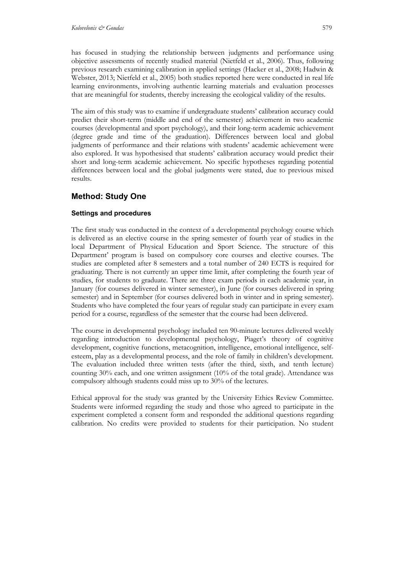has focused in studying the relationship between judgments and performance using objective assessments of recently studied material (Nietfeld et al., 2006). Thus, following previous research examining calibration in applied settings (Hacker et al., 2008; Hadwin & Webster, 2013; Nietfeld et al., 2005) both studies reported here were conducted in real life learning environments, involving authentic learning materials and evaluation processes that are meaningful for students, thereby increasing the ecological validity of the results.

The aim of this study was to examine if undergraduate students' calibration accuracy could predict their short-term (middle and end of the semester) achievement in two academic courses (developmental and sport psychology), and their long-term academic achievement (degree grade and time of the graduation). Differences between local and global judgments of performance and their relations with students' academic achievement were also explored. It was hypothesised that students' calibration accuracy would predict their short and long-term academic achievement. No specific hypotheses regarding potential differences between local and the global judgments were stated, due to previous mixed results.

# **Method: Study One**

## **Settings and procedures**

The first study was conducted in the context of a developmental psychology course which is delivered as an elective course in the spring semester of fourth year of studies in the local Department of Physical Education and Sport Science. The structure of this Department' program is based on compulsory core courses and elective courses. The studies are completed after 8 semesters and a total number of 240 ECTS is required for graduating. There is not currently an upper time limit, after completing the fourth year of studies, for students to graduate. There are three exam periods in each academic year, in January (for courses delivered in winter semester), in June (for courses delivered in spring semester) and in September (for courses delivered both in winter and in spring semester). Students who have completed the four years of regular study can participate in every exam period for a course, regardless of the semester that the course had been delivered.

The course in developmental psychology included ten 90-minute lectures delivered weekly regarding introduction to developmental psychology, Piaget's theory of cognitive development, cognitive functions, metacognition, intelligence, emotional intelligence, selfesteem, play as a developmental process, and the role of family in children's development. The evaluation included three written tests (after the third, sixth, and tenth lecture) counting 30% each, and one written assignment (10% of the total grade). Attendance was compulsory although students could miss up to 30% of the lectures.

Ethical approval for the study was granted by the University Ethics Review Committee. Students were informed regarding the study and those who agreed to participate in the experiment completed a consent form and responded the additional questions regarding calibration. No credits were provided to students for their participation. No student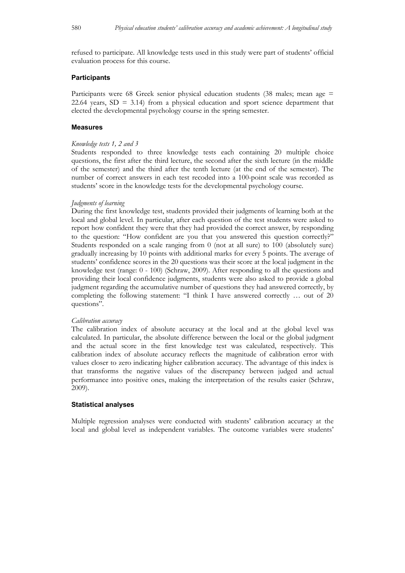refused to participate. All knowledge tests used in this study were part of students' official evaluation process for this course.

#### **Participants**

Participants were 68 Greek senior physical education students (38 males; mean age = 22.64 years,  $SD = 3.14$ ) from a physical education and sport science department that elected the developmental psychology course in the spring semester.

#### **Measures**

#### *Knowledge tests 1, 2 and 3*

Students responded to three knowledge tests each containing 20 multiple choice questions, the first after the third lecture, the second after the sixth lecture (in the middle of the semester) and the third after the tenth lecture (at the end of the semester). The number of correct answers in each test recoded into a 100-point scale was recorded as students' score in the knowledge tests for the developmental psychology course.

## *Judgments of learning*

During the first knowledge test, students provided their judgments of learning both at the local and global level. In particular, after each question of the test students were asked to report how confident they were that they had provided the correct answer, by responding to the question: "How confident are you that you answered this question correctly?" Students responded on a scale ranging from 0 (not at all sure) to 100 (absolutely sure) gradually increasing by 10 points with additional marks for every 5 points. The average of students' confidence scores in the 20 questions was their score at the local judgment in the knowledge test (range: 0 - 100) (Schraw, 2009). After responding to all the questions and providing their local confidence judgments, students were also asked to provide a global judgment regarding the accumulative number of questions they had answered correctly, by completing the following statement: "I think I have answered correctly … out of 20 questions".

#### *Calibration accuracy*

The calibration index of absolute accuracy at the local and at the global level was calculated. In particular, the absolute difference between the local or the global judgment and the actual score in the first knowledge test was calculated, respectively. This calibration index of absolute accuracy reflects the magnitude of calibration error with values closer to zero indicating higher calibration accuracy. The advantage of this index is that transforms the negative values of the discrepancy between judged and actual performance into positive ones, making the interpretation of the results easier (Schraw, 2009).

#### **Statistical analyses**

Multiple regression analyses were conducted with students' calibration accuracy at the local and global level as independent variables. The outcome variables were students'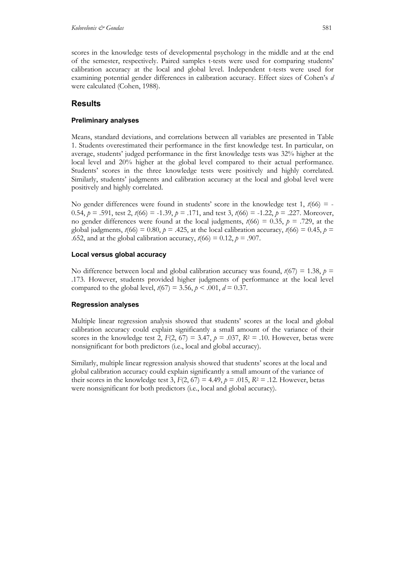scores in the knowledge tests of developmental psychology in the middle and at the end of the semester, respectively. Paired samples t-tests were used for comparing students' calibration accuracy at the local and global level. Independent t-tests were used for examining potential gender differences in calibration accuracy. Effect sizes of Cohen's *d* were calculated (Cohen, 1988).

## **Results**

## **Preliminary analyses**

Means, standard deviations, and correlations between all variables are presented in Table 1. Students overestimated their performance in the first knowledge test. In particular, on average, students' judged performance in the first knowledge tests was 32% higher at the local level and 20% higher at the global level compared to their actual performance. Students' scores in the three knowledge tests were positively and highly correlated. Similarly, students' judgments and calibration accuracy at the local and global level were positively and highly correlated.

No gender differences were found in students' score in the knowledge test 1,  $t(66) = -$ 0.54,  $p = .591$ , test 2,  $t(66) = -1.39$ ,  $p = .171$ , and test 3,  $t(66) = -1.22$ ,  $p = .227$ . Moreover, no gender differences were found at the local judgments,  $t(66) = 0.35$ ,  $p = .729$ , at the global judgments,  $t(66) = 0.80$ ,  $p = .425$ , at the local calibration accuracy,  $t(66) = 0.45$ ,  $p =$ .652, and at the global calibration accuracy,  $t(66) = 0.12$ ,  $p = .907$ .

## **Local versus global accuracy**

No difference between local and global calibration accuracy was found,  $t(67) = 1.38$ ,  $p =$ .173. However, students provided higher judgments of performance at the local level compared to the global level,  $t(67) = 3.56$ ,  $p < .001$ ,  $d = 0.37$ .

## **Regression analyses**

Multiple linear regression analysis showed that students' scores at the local and global calibration accuracy could explain significantly a small amount of the variance of their scores in the knowledge test 2,  $F(2, 67) = 3.47$ ,  $p = .037$ ,  $R^2 = .10$ . However, betas were nonsignificant for both predictors (i.e., local and global accuracy).

Similarly, multiple linear regression analysis showed that students' scores at the local and global calibration accuracy could explain significantly a small amount of the variance of their scores in the knowledge test 3,  $F(2, 67) = 4.49$ ,  $p = .015$ ,  $R^2 = .12$ . However, betas were nonsignificant for both predictors (i.e., local and global accuracy).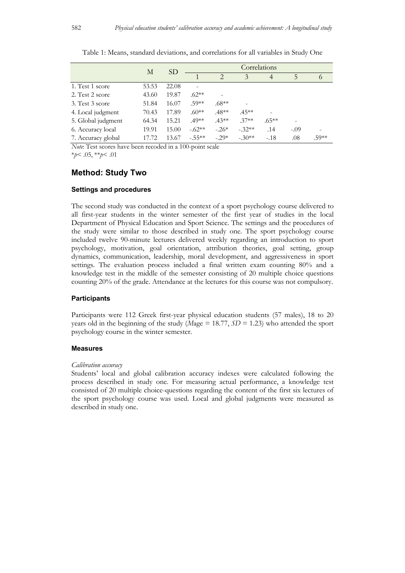|                    |       | SD.   | Correlations |               |          |          |        |          |  |
|--------------------|-------|-------|--------------|---------------|----------|----------|--------|----------|--|
|                    | М     |       |              | $\mathcal{D}$ | 3        | 4        | 5      | $\sigma$ |  |
| 1. Test 1 score    | 53.53 | 22.08 |              |               |          |          |        |          |  |
| 2. Test 2 score    | 43.60 | 19.87 | $.62**$      |               |          |          |        |          |  |
| 3. Test 3 score    | 51.84 | 16.07 | .59**        | $.68**$       |          |          |        |          |  |
| 4. Local judgment  | 70.43 | 17.89 | $.60**$      | $.48**$       | $.45**$  |          |        |          |  |
| 5. Global judgment | 64.34 | 15.21 | $.49**$      | $.43**$       | $.37**$  | $.65***$ |        |          |  |
| 6. Accuracy local  | 19.91 | 15.00 | $-.62**$     | $-.26*$       | $-.32**$ | .14      | $-.09$ |          |  |
| 7. Accuracy global | 17.72 | 13.67 | $-.55**$     | $-.29*$       | $-.30**$ | $-.18$   | .08    | .59**    |  |

Table 1: Means, standard deviations, and correlations for all variables in Study One

*Note*: Test scores have been recoded in a 100-point scale

\**p*< .05, \*\**p*< .01

## **Method: Study Two**

### **Settings and procedures**

The second study was conducted in the context of a sport psychology course delivered to all first-year students in the winter semester of the first year of studies in the local Department of Physical Education and Sport Science. The settings and the procedures of the study were similar to those described in study one. The sport psychology course included twelve 90-minute lectures delivered weekly regarding an introduction to sport psychology, motivation, goal orientation, attribution theories, goal setting, group dynamics, communication, leadership, moral development, and aggressiveness in sport settings. The evaluation process included a final written exam counting 80% and a knowledge test in the middle of the semester consisting of 20 multiple choice questions counting 20% of the grade. Attendance at the lectures for this course was not compulsory.

#### **Participants**

Participants were 112 Greek first-year physical education students (57 males), 18 to 20 years old in the beginning of the study ( $Mage = 18.77$ ,  $SD = 1.23$ ) who attended the sport psychology course in the winter semester.

#### **Measures**

#### *Calibration accuracy*

Students' local and global calibration accuracy indexes were calculated following the process described in study one. For measuring actual performance, a knowledge test consisted of 20 multiple choice-questions regarding the content of the first six lectures of the sport psychology course was used. Local and global judgments were measured as described in study one.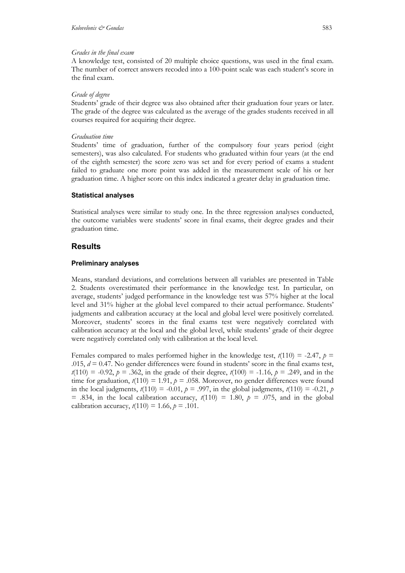### *Grades in the final exam*

A knowledge test, consisted of 20 multiple choice questions, was used in the final exam. The number of correct answers recoded into a 100-point scale was each student's score in the final exam.

### *Grade of degree*

Students' grade of their degree was also obtained after their graduation four years or later. The grade of the degree was calculated as the average of the grades students received in all courses required for acquiring their degree.

## *Graduation time*

Students' time of graduation, further of the compulsory four years period (eight semesters), was also calculated. For students who graduated within four years (at the end of the eighth semester) the score zero was set and for every period of exams a student failed to graduate one more point was added in the measurement scale of his or her graduation time. A higher score on this index indicated a greater delay in graduation time.

## **Statistical analyses**

Statistical analyses were similar to study one. In the three regression analyses conducted, the outcome variables were students' score in final exams, their degree grades and their graduation time.

## **Results**

## **Preliminary analyses**

Means, standard deviations, and correlations between all variables are presented in Table 2. Students overestimated their performance in the knowledge test. In particular, on average, students' judged performance in the knowledge test was 57% higher at the local level and 31% higher at the global level compared to their actual performance. Students' judgments and calibration accuracy at the local and global level were positively correlated. Moreover, students' scores in the final exams test were negatively correlated with calibration accuracy at the local and the global level, while students' grade of their degree were negatively correlated only with calibration at the local level.

Females compared to males performed higher in the knowledge test,  $t(110) = -2.47$ ,  $p =$ .015,  $d = 0.47$ . No gender differences were found in students' score in the final exams test,  $t(110) = -0.92$ ,  $p = .362$ , in the grade of their degree,  $t(100) = -1.16$ ,  $p = .249$ , and in the time for graduation,  $t(110) = 1.91$ ,  $p = .058$ . Moreover, no gender differences were found in the local judgments,  $t(110) = -0.01$ ,  $p = .997$ , in the global judgments,  $t(110) = -0.21$ ,  $p = -0.01$ = .834, in the local calibration accuracy,  $t(110) = 1.80$ ,  $p = .075$ , and in the global calibration accuracy,  $t(110) = 1.66$ ,  $p = .101$ .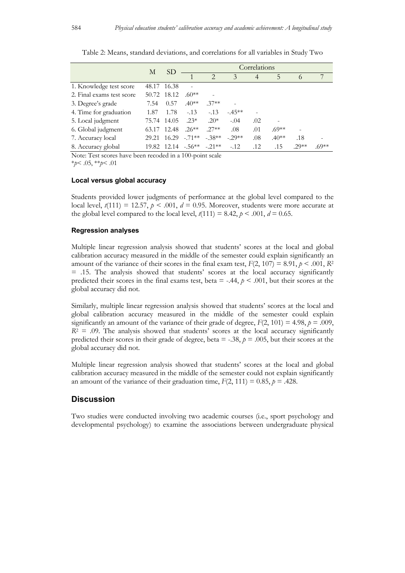|                           | М     | SD.         | Correlations                     |                             |               |                |         |          |         |
|---------------------------|-------|-------------|----------------------------------|-----------------------------|---------------|----------------|---------|----------|---------|
|                           |       |             |                                  | $\mathcal{D}_{\mathcal{A}}$ | $\mathcal{Z}$ | $\overline{4}$ | 5       | $\Omega$ |         |
| 1. Knowledge test score   | 48.17 | 16.38       |                                  |                             |               |                |         |          |         |
| 2. Final exams test score | 50.72 | 18.12       | $.60**$                          |                             |               |                |         |          |         |
| 3. Degree's grade         | 7.54  | 0.57        | $.40**$                          | $.37**$                     |               |                |         |          |         |
| 4. Time for graduation    | 1.87  | 1.78        | $-.13$                           | $-13$                       | $-45**$       |                |         |          |         |
| 5. Local judgment         | 75.74 | 14.05       | $.23*$                           | $.20*$                      | $-.04$        | .02            |         |          |         |
| 6. Global judgment        |       | 63.17 12.48 | $.26**$                          | $.27**$                     | .08           | .01            | $.69**$ |          |         |
| 7. Accuracy local         | 29.21 | 16.29       | $-.71**$                         | $-.38**$                    | $-.29**$      | .08            | $.40**$ | .18      |         |
| 8. Accuracy global        |       |             | $19.82$ 12.14 $-.56***$ $-.21**$ |                             | $-.12$        | .12            | .15     | $.29**$  | $.69**$ |

Table 2: Means, standard deviations, and correlations for all variables in Study Two

Note: Test scores have been recoded in a 100-point scale \**p*< .05, \*\**p*< .01

#### **Local versus global accuracy**

Students provided lower judgments of performance at the global level compared to the local level,  $t(111) = 12.57$ ,  $p < .001$ ,  $d = 0.95$ . Moreover, students were more accurate at the global level compared to the local level,  $t(111) = 8.42$ ,  $p < .001$ ,  $d = 0.65$ .

#### **Regression analyses**

Multiple linear regression analysis showed that students' scores at the local and global calibration accuracy measured in the middle of the semester could explain significantly an amount of the variance of their scores in the final exam test,  $F(2, 107) = 8.91$ ,  $p < .001$ ,  $R^2$ = .15. The analysis showed that students' scores at the local accuracy significantly predicted their scores in the final exams test, beta  $= -44$ ,  $p < .001$ , but their scores at the global accuracy did not.

Similarly, multiple linear regression analysis showed that students' scores at the local and global calibration accuracy measured in the middle of the semester could explain significantly an amount of the variance of their grade of degree,  $F(2, 101) = 4.98$ ,  $p = .009$ ,  $R<sup>2</sup> = .09$ . The analysis showed that students' scores at the local accuracy significantly predicted their scores in their grade of degree, beta  $=$  -.38,  $p = .005$ , but their scores at the global accuracy did not.

Multiple linear regression analysis showed that students' scores at the local and global calibration accuracy measured in the middle of the semester could not explain significantly an amount of the variance of their graduation time,  $F(2, 111) = 0.85$ ,  $p = .428$ .

### **Discussion**

Two studies were conducted involving two academic courses (i.e., sport psychology and developmental psychology) to examine the associations between undergraduate physical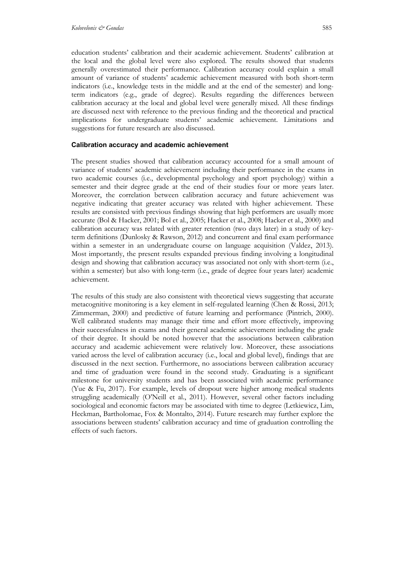education students' calibration and their academic achievement. Students' calibration at the local and the global level were also explored. The results showed that students generally overestimated their performance. Calibration accuracy could explain a small amount of variance of students' academic achievement measured with both short-term indicators (i.e., knowledge tests in the middle and at the end of the semester) and longterm indicators (e.g., grade of degree). Results regarding the differences between calibration accuracy at the local and global level were generally mixed. All these findings are discussed next with reference to the previous finding and the theoretical and practical implications for undergraduate students' academic achievement. Limitations and suggestions for future research are also discussed.

#### **Calibration accuracy and academic achievement**

The present studies showed that calibration accuracy accounted for a small amount of variance of students' academic achievement including their performance in the exams in two academic courses (i.e., developmental psychology and sport psychology) within a semester and their degree grade at the end of their studies four or more years later. Moreover, the correlation between calibration accuracy and future achievement was negative indicating that greater accuracy was related with higher achievement. These results are consisted with previous findings showing that high performers are usually more accurate (Bol & Hacker, 2001; Bol et al., 2005; Hacker et al., 2008; Hacker et al., 2000) and calibration accuracy was related with greater retention (two days later) in a study of keyterm definitions (Dunlosky & Rawson, 2012) and concurrent and final exam performance within a semester in an undergraduate course on language acquisition (Valdez, 2013). Most importantly, the present results expanded previous finding involving a longitudinal design and showing that calibration accuracy was associated not only with short-term (i.e., within a semester) but also with long-term (i.e., grade of degree four years later) academic achievement.

The results of this study are also consistent with theoretical views suggesting that accurate metacognitive monitoring is a key element in self-regulated learning (Chen & Rossi, 2013; Zimmerman, 2000) and predictive of future learning and performance (Pintrich, 2000). Well calibrated students may manage their time and effort more effectively, improving their successfulness in exams and their general academic achievement including the grade of their degree. It should be noted however that the associations between calibration accuracy and academic achievement were relatively low. Moreover, these associations varied across the level of calibration accuracy (i.e., local and global level), findings that are discussed in the next section. Furthermore, no associations between calibration accuracy and time of graduation were found in the second study. Graduating is a significant milestone for university students and has been associated with academic performance (Yue & Fu, 2017). For example, levels of dropout were higher among medical students struggling academically (O'Neill et al., 2011). However, several other factors including sociological and economic factors may be associated with time to degree (Letkiewicz, Lim, Heckman, Bartholomae, Fox & Montalto, 2014). Future research may further explore the associations between students' calibration accuracy and time of graduation controlling the effects of such factors.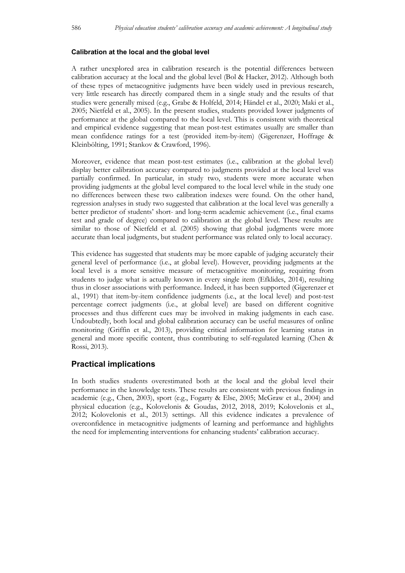#### **Calibration at the local and the global level**

A rather unexplored area in calibration research is the potential differences between calibration accuracy at the local and the global level (Bol & Hacker, 2012). Although both of these types of metacognitive judgments have been widely used in previous research, very little research has directly compared them in a single study and the results of that studies were generally mixed (e.g., Grabe & Holfeld, 2014; Händel et al., 2020; Maki et al., 2005; Nietfeld et al., 2005). In the present studies, students provided lower judgments of performance at the global compared to the local level. This is consistent with theoretical and empirical evidence suggesting that mean post-test estimates usually are smaller than mean confidence ratings for a test (provided item-by-item) (Gigerenzer, Hoffrage & Kleinbölting, 1991; Stankov & Crawford, 1996).

Moreover, evidence that mean post-test estimates (i.e., calibration at the global level) display better calibration accuracy compared to judgments provided at the local level was partially confirmed. In particular, in study two, students were more accurate when providing judgments at the global level compared to the local level while in the study one no differences between these two calibration indexes were found. On the other hand, regression analyses in study two suggested that calibration at the local level was generally a better predictor of students' short- and long-term academic achievement (i.e., final exams test and grade of degree) compared to calibration at the global level. These results are similar to those of Nietfeld et al. (2005) showing that global judgments were more accurate than local judgments, but student performance was related only to local accuracy.

This evidence has suggested that students may be more capable of judging accurately their general level of performance (i.e., at global level). However, providing judgments at the local level is a more sensitive measure of metacognitive monitoring, requiring from students to judge what is actually known in every single item (Efklides, 2014), resulting thus in closer associations with performance. Indeed, it has been supported (Gigerenzer et al., 1991) that item-by-item confidence judgments (i.e., at the local level) and post-test percentage correct judgments (i.e., at global level) are based on different cognitive processes and thus different cues may be involved in making judgments in each case. Undoubtedly, both local and global calibration accuracy can be useful measures of online monitoring (Griffin et al., 2013), providing critical information for learning status in general and more specific content, thus contributing to self-regulated learning (Chen & Rossi, 2013).

## **Practical implications**

In both studies students overestimated both at the local and the global level their performance in the knowledge tests. These results are consistent with previous findings in academic (e.g., Chen, 2003), sport (e.g., Fogarty & Else, 2005; McGraw et al., 2004) and physical education (e.g., Kolovelonis & Goudas, 2012, 2018, 2019; Kolovelonis et al., 2012; Kolovelonis et al., 2013) settings. All this evidence indicates a prevalence of overconfidence in metacognitive judgments of learning and performance and highlights the need for implementing interventions for enhancing students' calibration accuracy.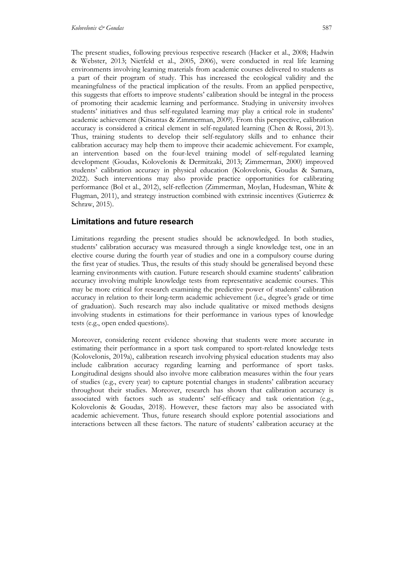The present studies, following previous respective research (Hacker et al., 2008; Hadwin & Webster, 2013; Nietfeld et al., 2005, 2006), were conducted in real life learning environments involving learning materials from academic courses delivered to students as a part of their program of study. This has increased the ecological validity and the meaningfulness of the practical implication of the results. From an applied perspective, this suggests that efforts to improve students' calibration should be integral in the process of promoting their academic learning and performance. Studying in university involves students' initiatives and thus self-regulated learning may play a critical role in students' academic achievement (Kitsantas & Zimmerman, 2009). From this perspective, calibration accuracy is considered a critical element in self-regulated learning (Chen & Rossi, 2013). Thus, training students to develop their self-regulatory skills and to enhance their calibration accuracy may help them to improve their academic achievement. For example, an intervention based on the four-level training model of self-regulated learning development (Goudas, Kolovelonis & Dermitzaki, 2013; Zimmerman, 2000) improved students' calibration accuracy in physical education (Kolovelonis, Goudas & Samara, 2022). Such interventions may also provide practice opportunities for calibrating performance (Bol et al., 2012), self-reflection (Zimmerman, Moylan, Hudesman, White & Flugman, 2011), and strategy instruction combined with extrinsic incentives (Gutierrez & Schraw, 2015).

## **Limitations and future research**

Limitations regarding the present studies should be acknowledged. In both studies, students' calibration accuracy was measured through a single knowledge test, one in an elective course during the fourth year of studies and one in a compulsory course during the first year of studies. Thus, the results of this study should be generalised beyond these learning environments with caution. Future research should examine students' calibration accuracy involving multiple knowledge tests from representative academic courses. This may be more critical for research examining the predictive power of students' calibration accuracy in relation to their long-term academic achievement (i.e., degree's grade or time of graduation). Such research may also include qualitative or mixed methods designs involving students in estimations for their performance in various types of knowledge tests (e.g., open ended questions).

Moreover, considering recent evidence showing that students were more accurate in estimating their performance in a sport task compared to sport-related knowledge tests (Kolovelonis, 2019a), calibration research involving physical education students may also include calibration accuracy regarding learning and performance of sport tasks. Longitudinal designs should also involve more calibration measures within the four years of studies (e.g., every year) to capture potential changes in students' calibration accuracy throughout their studies. Moreover, research has shown that calibration accuracy is associated with factors such as students' self-efficacy and task orientation (e.g., Kolovelonis & Goudas, 2018). However, these factors may also be associated with academic achievement. Thus, future research should explore potential associations and interactions between all these factors. The nature of students' calibration accuracy at the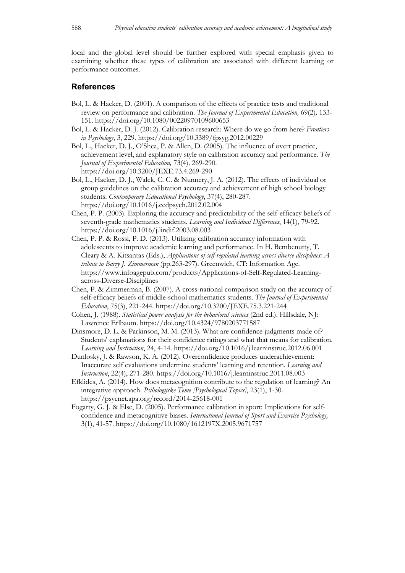local and the global level should be further explored with special emphasis given to examining whether these types of calibration are associated with different learning or performance outcomes.

## **References**

- Bol, L. & Hacker, D. (2001). A comparison of the effects of practice tests and traditional review on performance and calibration. *The Journal of Experimental Education,* 69(2)*,* 133- 151. https://doi.org/10.1080/00220970109600653
- Bol, L. & Hacker, D. J. (2012). Calibration research: Where do we go from here? *Frontiers in Psychology*, 3, 229. https://doi.org/10.3389/fpsyg.2012.00229
- Bol, L., Hacker, D. J., O'Shea, P. & Allen, D. (2005). The influence of overt practice, achievement level, and explanatory style on calibration accuracy and performance. *The Journal of Experimental Education,* 73(4)*,* 269-290. https://doi.org/10.3200/JEXE.73.4.269-290
- Bol, L., Hacker, D. J., Walck, C. C. & Nunnery, J. A. (2012). The effects of individual or group guidelines on the calibration accuracy and achievement of high school biology students. *Contemporary Educational Psychology*, 37(4), 280-287. https://doi.org/10.1016/j.cedpsych.2012.02.004
- Chen, P. P. (2003). Exploring the accuracy and predictability of the self-efficacy beliefs of seventh-grade mathematics students. *Learning and Individual Differences*, 14(1), 79-92. https://doi.org/10.1016/j.lindif.2003.08.003
- Chen, P. P. & Rossi, P. D. (2013). Utilizing calibration accuracy information with adolescents to improve academic learning and performance. In H. Bembenutty, T. Cleary & A. Kitsantas (Eds.), *Applications of self-regulated learning across diverse disciplines: A tribute to Barry J. Zimmerman* (pp.263-297). Greenwich, CT: Information Age. https://www.infoagepub.com/products/Applications-of-Self-Regulated-Learningacross-Diverse-Disciplines
- Chen, P. & Zimmerman, B. (2007). A cross-national comparison study on the accuracy of self-efficacy beliefs of middle-school mathematics students. *The Journal of Experimental Education*, 75(3), 221-244. https://doi.org/10.3200/JEXE.75.3.221-244
- Cohen, J. (1988). *Statistical power analysis for the behavioral sciences* (2nd ed.). Hillsdale, NJ: Lawrence Erlbaum. https://doi.org/10.4324/9780203771587
- Dinsmore, D. L. & Parkinson, M. M. (2013). What are confidence judgments made of? Students' explanations for their confidence ratings and what that means for calibration. *Learning and Instruction*, 24, 4-14. https://doi.org/10.1016/j.learninstruc.2012.06.001
- Dunlosky, J. & Rawson, K. A. (2012). Overconfidence produces underachievement: Inaccurate self evaluations undermine students' learning and retention. *Learning and Instruction*, 22(4), 271-280. https://doi.org/10.1016/j.learninstruc.2011.08.003
- Efklides, A. (2014). How does metacognition contribute to the regulation of learning? An integrative approach. *Psihologijske Teme [Psychological Topics]*, 23(1), 1-30. https://psycnet.apa.org/record/2014-25618-001
- Fogarty, G. J. & Else, D. (2005). Performance calibration in sport: Implications for selfconfidence and metacognitive biases. *International Journal of Sport and Exercise Psychology,* 3(1), 41-57. https://doi.org/10.1080/1612197X.2005.9671757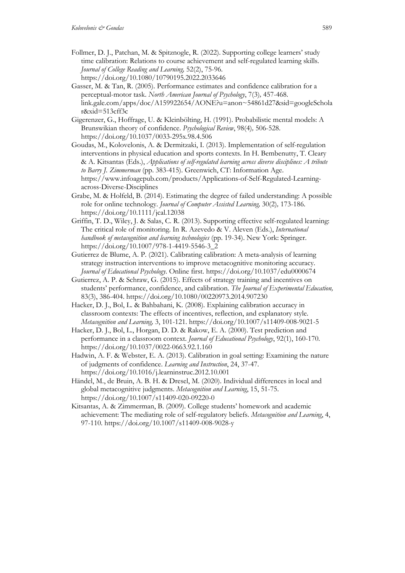- Follmer, D. J., Patchan, M. & Spitznogle, R. (2022). Supporting college learners' study time calibration: Relations to course achievement and self-regulated learning skills. *Journal of College Reading and Learning,* 52(2), 75-96. https://doi.org/10.1080/10790195.2022.2033646
- Gasser, M. & Tan, R. (2005). Performance estimates and confidence calibration for a perceptual-motor task. *North American Journal of Psychology*, 7(3)*,* 457-468. link.gale.com/apps/doc/A159922654/AONE?u=anon~54861d27&sid=googleSchola r&xid=513cff3c
- Gigerenzer, G., Hoffrage, U. & Kleinbölting, H. (1991). Probabilistic mental models: A Brunswikian theory of confidence. *Psychological Review*, 98(4)*,* 506-528. https://doi.org/10.1037/0033-295x.98.4.506
- Goudas, M., Kolovelonis, A. & Dermitzaki, I. (2013). Implementation of self-regulation interventions in physical education and sports contexts. In H. Bembenutty, T. Cleary & A. Kitsantas (Eds.), *Applications of self-regulated learning across diverse disciplines: A tribute to Barry J. Zimmerman* (pp. 383-415). Greenwich, CT: Information Age. https://www.infoagepub.com/products/Applications-of-Self-Regulated-Learningacross-Diverse-Disciplines
- Grabe, M. & Holfeld, B. (2014). Estimating the degree of failed understanding: A possible role for online technology. *Journal of Computer Assisted Learning,* 30(2)*,* 173-186. https://doi.org/10.1111/jcal.12038
- Griffin, T. D., Wiley, J. & Salas, C. R. (2013). Supporting effective self-regulated learning: The critical role of monitoring. In R. Azevedo & V. Aleven (Eds.), *International handbook of metacognition and learning technologies* (pp. 19-34). New York: Springer. https://doi.org/10.1007/978-1-4419-5546-3\_2
- Gutierrez de Blume, A. P. (2021). Calibrating calibration: A meta-analysis of learning strategy instruction interventions to improve metacognitive monitoring accuracy. *Journal of Educational Psychology*. Online first. https://doi.org/10.1037/edu0000674
- Gutierrez, A. P. & Schraw, G. (2015). Effects of strategy training and incentives on students' performance, confidence, and calibration. *The Journal of Experimental Education,* 83(3), 386-404. https://doi.org/10.1080/00220973.2014.907230
- Hacker, D. J., Bol, L. & Bahbahani, K. (2008). Explaining calibration accuracy in classroom contexts: The effects of incentives, reflection, and explanatory style. *Metacognition and Learning,* 3, 101-121. https://doi.org/10.1007/s11409-008-9021-5
- Hacker, D. J., Bol, L., Horgan, D. D. & Rakow, E. A. (2000). Test prediction and performance in a classroom context. *Journal of Educational Psychology*, 92(1), 160-170. https://doi.org/10.1037/0022-0663.92.1.160
- Hadwin, A. F. & Webster, E. A. (2013). Calibration in goal setting: Examining the nature of judgments of confidence. *Learning and Instruction*, 24, 37-47. https://doi.org/10.1016/j.learninstruc.2012.10.001
- Händel, M., de Bruin, A. B. H. & Dresel, M. (2020). Individual differences in local and global metacognitive judgments. *Metacognition and Learning*, 15, 51-75. https://doi.org/10.1007/s11409-020-09220-0
- Kitsantas, A. & Zimmerman, B. (2009). College students' homework and academic achievement: The mediating role of self-regulatory beliefs. *Metacognition and Learning*, 4, 97-110. https://doi.org/10.1007/s11409-008-9028-y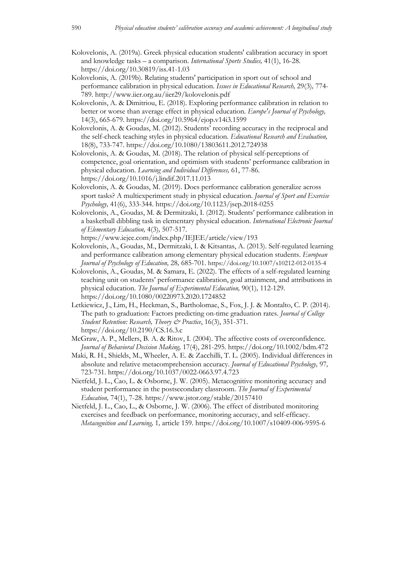- Kolovelonis, A. (2019a). Greek physical education students' calibration accuracy in sport and knowledge tasks – a comparison. *International Sports Studies,* 41(1), 16-28. https://doi.org/10.30819/iss.41-1.03
- Kolovelonis, A. (2019b). Relating students' participation in sport out of school and performance calibration in physical education. *Issues in Educational Research,* 29(3)*,* 774- 789. http://www.iier.org.au/iier29/kolovelonis.pdf
- Kolovelonis, A. & Dimitriou, E. (2018). Exploring performance calibration in relation to better or worse than average effect in physical education. *Europe's Journal of Psychology,*  14(3), 665-679. https://doi.org/10.5964/ejop.v14i3.1599
- Kolovelonis, A. & Goudas, M. (2012). Students' recording accuracy in the reciprocal and the self-check teaching styles in physical education. *Educational Research and Evaluation,*  18(8), 733-747. https://doi.org/10.1080/13803611.2012.724938
- Kolovelonis, A. & Goudas, M. (2018). The relation of physical self-perceptions of competence, goal orientation, and optimism with students' performance calibration in physical education. *Learning and Individual Differences,* 61, 77-86. https://doi.org/10.1016/j.lindif.2017.11.013
- Kolovelonis, A. & Goudas, M. (2019). Does performance calibration generalize across sport tasks? A multiexperiment study in physical education. *Journal of Sport and Exercise Psychology,* 41(6), 333-344. https://doi.org/10.1123/jsep.2018-0255
- Kolovelonis, A., Goudas, M. & Dermitzaki, I. (2012). Students' performance calibration in a basketball dibbling task in elementary physical education. *International Electronic Journal of Elementary Education,* 4(3)*,* 507-517.

https://www.iejee.com/index.php/IEJEE/article/view/193

- Kolovelonis, A., Goudas, M., Dermitzaki, I. & Kitsantas, A. (2013). Self-regulated learning and performance calibration among elementary physical education students. *European Journal of Psychology of Education,* 28*,* 685-701. https://doi.org/10.1007/s10212-012-0135-4
- Kolovelonis, A., Goudas, M. & Samara, E. (2022). The effects of a self-regulated learning teaching unit on students' performance calibration, goal attainment, and attributions in physical education. *The Journal of Experimental Education,* 90(1)*,* 112-129. https://doi.org/10.1080/00220973.2020.1724852
- Letkiewicz, J., Lim, H., Heckman, S., Bartholomae, S., Fox, J. J. & Montalto, C. P. (2014). The path to graduation: Factors predicting on-time graduation rates. *Journal of College Student Retention: Research, Theory & Practice*, 16(3), 351-371. https://doi.org/10.2190/CS.16.3.c
- McGraw, A. P., Mellers, B. A. & Ritov, I. (2004). The affective costs of overconfidence. *Journal of Behavioral Decision Making,* 17(4), 281-295. https://doi.org/10.1002/bdm.472
- Maki, R. H., Shields, M., Wheeler, A. E. & Zacchilli, T. L. (2005). Individual differences in absolute and relative metacomprehension accuracy. *Journal of Educational Psychology,* 97*,*  723-731. https://doi.org/10.1037/0022-0663.97.4.723
- Nietfeld, J. L., Cao, L. & Osborne, J. W. (2005). Metacognitive monitoring accuracy and student performance in the postsecondary classroom. *The Journal of Experimental Education,* 74(1), 7-28. https://www.jstor.org/stable/20157410
- Nietfeld, J. L., Cao, L., & Osborne, J. W. (2006). The effect of distributed monitoring exercises and feedback on performance, monitoring accuracy, and self-efficacy. *Metacognition and Learning,* 1*,* article 159. https://doi.org/10.1007/s10409-006-9595-6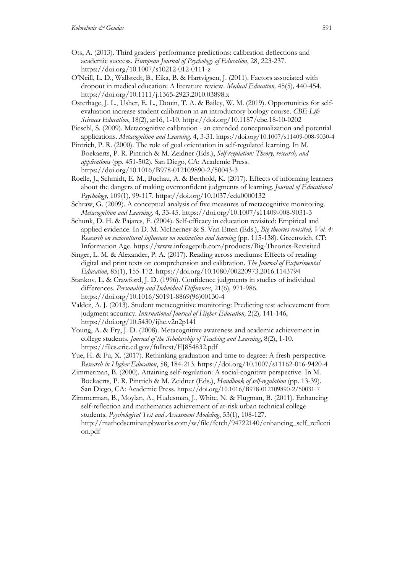- Ots, A. (2013). Third graders' performance predictions: calibration deflections and academic success. *European Journal of Psychology of Education*, 28, 223-237. https://doi.org/10.1007/s10212-012-0111-z
- O'Neill, L. D., Wallstedt, B., Eika, B. & Hartvigsen, J. (2011). Factors associated with dropout in medical education: A literature review. *Medical Education,* 45(5)*,* 440-454. https://doi.org/10.1111/j.1365-2923.2010.03898.x
- Osterhage, J. L., Usher, E. L., Douin, T. A. & Bailey, W. M. (2019). Opportunities for selfevaluation increase student calibration in an introductory biology course. *CBE-Life Sciences Education*, 18(2), ar16, 1-10. https://doi.org/10.1187/cbe.18-10-0202
- Pieschl, S. (2009). Metacognitive calibration an extended conceptualization and potential applications. *Metacognition and Learning,* 4, 3-31. https://doi.org/10.1007/s11409-008-9030-4
- Pintrich, P. R. (2000). The role of goal orientation in self-regulated learning. In M. Boekaerts, P. R. Pintrich & M. Zeidner (Eds.), *Self-regulation: Theory, research, and applications* (pp. 451-502). San Diego, CA: Academic Press. https://doi.org/10.1016/B978-012109890-2/50043-3
- Roelle, J., Schmidt, E. M., Buchau, A. & Berthold, K. (2017). Effects of informing learners about the dangers of making overconfident judgments of learning. *Journal of Educational Psychology,* 109(1)*,* 99-117. https://doi.org/10.1037/edu0000132
- Schraw, G. (2009). A conceptual analysis of five measures of metacognitive monitoring. *Metacognition and Learning,* 4*,* 33-45. https://doi.org/10.1007/s11409-008-9031-3
- Schunk, D. H. & Pajares, F. (2004). Self-efficacy in education revisited: Empirical and applied evidence. In D. M. McInerney & S. Van Etten (Eds.), *Big theories revisited, Vol. 4: Research on sociocultural influences on motivation and learning* (pp. 115-138). Greenwich, CT: Information Age. https://www.infoagepub.com/products/Big-Theories-Revisited
- Singer, L. M. & Alexander, P. A. (2017). Reading across mediums: Effects of reading digital and print texts on comprehension and calibration. *The Journal of Experimental Education*, 85(1), 155-172. https://doi.org/10.1080/00220973.2016.1143794
- Stankov, L. & Crawford, J. D. (1996). Confidence judgments in studies of individual differences. *Personality and Individual Differences*, 21(6)*,* 971-986. https://doi.org/10.1016/S0191-8869(96)00130-4
- Valdez, A. J. (2013). Student metacognitive monitoring: Predicting test achievement from judgment accuracy. *International Journal of Higher Education,* 2(2)*,* 141-146, https://doi.org/10.5430/ijhe.v2n2p141
- Young, A. & Fry, J. D. (2008). Metacognitive awareness and academic achievement in college students. *Journal of the Scholarship of Teaching and Learning*, 8(2), 1-10. https://files.eric.ed.gov/fulltext/EJ854832.pdf
- Yue, H. & Fu, X. (2017). Rethinking graduation and time to degree: A fresh perspective. *Research in Higher Education*, 58, 184-213. https://doi.org/10.1007/s11162-016-9420-4
- Zimmerman, B. (2000). Attaining self-regulation: A social-cognitive perspective. In M. Boekaerts, P. R. Pintrich & M. Zeidner (Eds.), *Handbook of self-regulation* (pp. 13-39). San Diego, CA: Academic Press. https://doi.org/10.1016/B978-012109890-2/50031-7
- Zimmerman, B., Moylan, A., Hudesman, J., White, N. & Flugman, B. (2011). Enhancing self-reflection and mathematics achievement of at-risk urban technical college students. *Psychological Test and Assessment Modeling*, 53(1), 108-127. http://mathedseminar.pbworks.com/w/file/fetch/94722140/enhancing\_self\_reflecti on.pdf